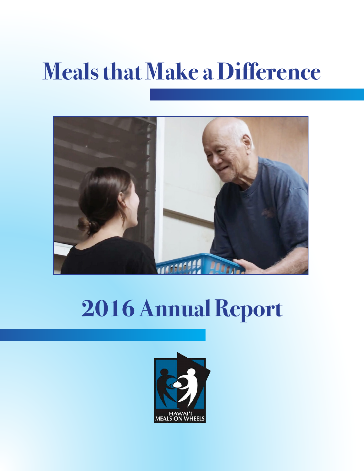## **Meals that Make a Difference**



## **2016 Annual Report**

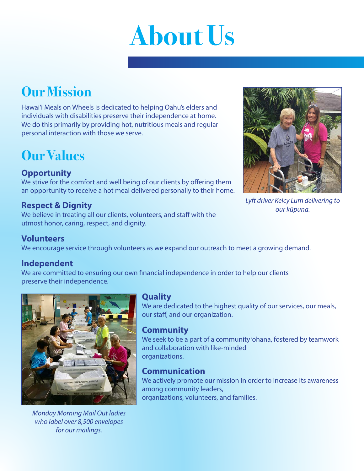# **About Us**

## **Our Mission**

Hawai'i Meals on Wheels is dedicated to helping Oahu's elders and individuals with disabilities preserve their independence at home. We do this primarily by providing hot, nutritious meals and regular personal interaction with those we serve.

## **Our Values**

#### **Opportunity**

We strive for the comfort and well being of our clients by offering them an opportunity to receive a hot meal delivered personally to their home.

#### **Respect & Dignity**

We believe in treating all our clients, volunteers, and staff with the utmost honor, caring, respect, and dignity.



*Lyft driver Kelcy Lum delivering to our kūpuna.*

#### **Volunteers**

We encourage service through volunteers as we expand our outreach to meet a growing demand.

#### **Independent**

We are committed to ensuring our own financial independence in order to help our clients preserve their independence.



*Monday Morning Mail Out ladies who label over 8,500 envelopes for our mailings.*

#### **Quality**

We are dedicated to the highest quality of our services, our meals, our staff, and our organization.

#### **Community**

We seek to be a part of a community 'ohana, fostered by teamwork and collaboration with like-minded organizations.

#### **Communication**

We actively promote our mission in order to increase its awareness among community leaders, organizations, volunteers, and families.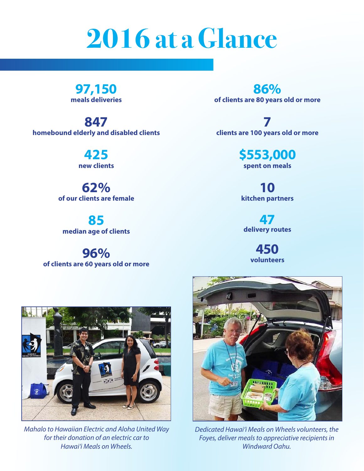## **2016 at a Glance**

**97,150 meals deliveries**

**847 homebound elderly and disabled clients**

> **425 new clients**

**62% of our clients are female**

**85 median age of clients**

**96% of clients are 60 years old or more**

**86% of clients are 80 years old or more**

**7 clients are 100 years old or more**

> **\$553,000 spent on meals**

**10 kitchen partners**

**47 delivery routes**

> **450 volunteers**



*Mahalo to Hawaiian Electric and Aloha United Way for their donation of an electric car to Hawai'i Meals on Wheels.*



*Dedicated Hawai'i Meals on Wheels volunteers, the Foyes, deliver meals to appreciative recipients in Windward Oahu.*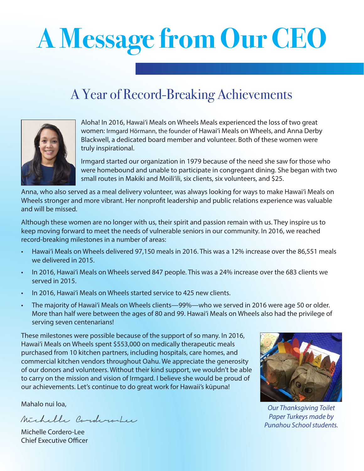# **A Message from Our CEO**

### A Year of Record-Breaking Achievements



Aloha! In 2016, Hawai'i Meals on Wheels Meals experienced the loss of two great women: Irmgard Hörmann, the founder of Hawai'i Meals on Wheels, and Anna Derby Blackwell, a dedicated board member and volunteer. Both of these women were truly inspirational.

Irmgard started our organization in 1979 because of the need she saw for those who were homebound and unable to participate in congregant dining. She began with two small routes in Makiki and Moili'ili, six clients, six volunteers, and \$25.

Anna, who also served as a meal delivery volunteer, was always looking for ways to make Hawai'i Meals on Wheels stronger and more vibrant. Her nonprofit leadership and public relations experience was valuable and will be missed.

Although these women are no longer with us, their spirit and passion remain with us. They inspire us to keep moving forward to meet the needs of vulnerable seniors in our community. In 2016, we reached record-breaking milestones in a number of areas:

- Hawai'i Meals on Wheels delivered 97,150 meals in 2016. This was a 12% increase over the 86,551 meals we delivered in 2015.
- In 2016, Hawai'i Meals on Wheels served 847 people. This was a 24% increase over the 683 clients we served in 2015.
- In 2016, Hawai'i Meals on Wheels started service to 425 new clients.
- The majority of Hawai'i Meals on Wheels clients—99%—who we served in 2016 were age 50 or older. More than half were between the ages of 80 and 99. Hawai'i Meals on Wheels also had the privilege of serving seven centenarians!

These milestones were possible because of the support of so many. In 2016, Hawai'i Meals on Wheels spent \$553,000 on medically therapeutic meals purchased from 10 kitchen partners, including hospitals, care homes, and commercial kitchen vendors throughout Oahu. We appreciate the generosity of our donors and volunteers. Without their kind support, we wouldn't be able to carry on the mission and vision of Irmgard. I believe she would be proud of our achievements. Let's continue to do great work for Hawaii's kūpuna!

Mahalo nui loa,

Michelle Cordero-Lee

Michelle Cordero-Lee Chief Executive Officer



*Our Thanksgiving Toilet Paper Turkeys made by Punahou School students.*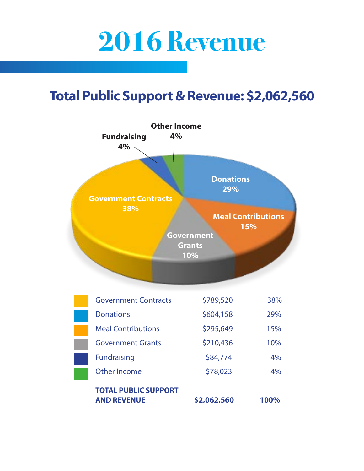## **2016 Revenue**

### **Total Public Support & Revenue: \$2,062,560**

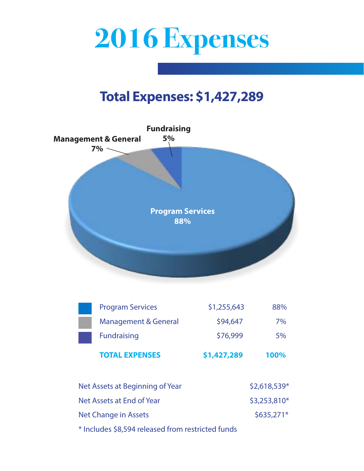

### **Total Expenses: \$1,427,289**



| <b>TOTAL EXPENSES</b>           | \$1,427,289 | 100% |
|---------------------------------|-------------|------|
| <b>Fundraising</b>              | \$76,999    | 5%   |
| <b>Management &amp; General</b> | \$94,647    | 7%   |
| <b>Program Services</b>         | \$1,255,643 | 88%  |

| Net Assets at Beginning of Year                                                                                                                                                                                                    | $$2,618,539*$ |
|------------------------------------------------------------------------------------------------------------------------------------------------------------------------------------------------------------------------------------|---------------|
| Net Assets at End of Year                                                                                                                                                                                                          | $$3,253,810*$ |
| Net Change in Assets                                                                                                                                                                                                               | $$635,271*$   |
| $\mathbf{x}$ ii across it is the set of the set of the set of the set of the set of the set of the set of the set of the set of the set of the set of the set of the set of the set of the set of the set of the set of the set of |               |

\* Includes \$8,594 released from restricted funds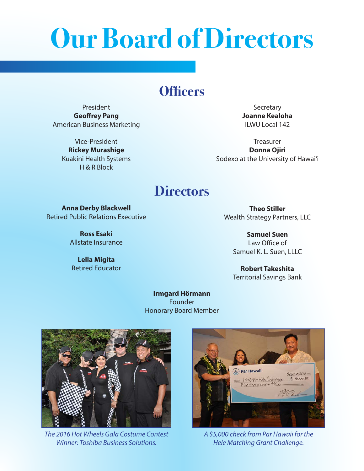## **Our Board of Directors**

### **Officers**

President **Geoffrey Pang** American Business Marketing

> Vice-President **Rickey Murashige** Kuakini Health Systems H & R Block

**Secretary Joanne Kealoha** ILWU Local 142

Treasurer **Donna Ojiri** Sodexo at the University of Hawai'i

### **Directors**

**Anna Derby Blackwell** Retired Public Relations Executive

> **Ross Esaki** Allstate Insurance

**Lella Migita** Retired Educator

**Theo Stiller** Wealth Strategy Partners, LLC

> **Samuel Suen** Law Office of Samuel K. L. Suen, LLLC

> **Robert Takeshita** Territorial Savings Bank

**Irmgard Hörmann** Founder Honorary Board Member



*The 2016 Hot Wheels Gala Costume Contest Winner: Toshiba Business Solutions.*



*A \$5,000 check from Par Hawaii for the Hele Matching Grant Challenge.*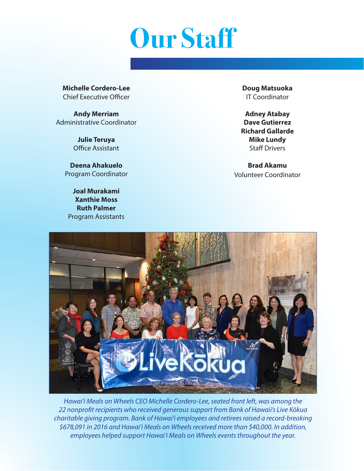

**Michelle Cordero-Lee** Chief Executive Officer

**Andy Merriam** Administrative Coordinator

> **Julie Teruya** Office Assistant

**Deena Ahakuelo** Program Coordinator

**Joal Murakami Xanthie Moss Ruth Palmer** Program Assistants **Doug Matsuoka** IT Coordinator

**Adney Atabay Dave Gutierrez Richard Gallarde Mike Lundy** Staff Drivers

**Brad Akamu** Volunteer Coordinator



*Hawai'i Meals on Wheels CEO Michelle Cordero-Lee, seated front left, was among the 22 nonprofit recipients who received generous support from Bank of Hawaii's Live Kōkua charitable giving program. Bank of Hawai'i employees and retirees raised a record-breaking \$678,091 in 2016 and Hawai'i Meals on Wheels received more than \$40,000. In addition, employees helped support Hawai'i Meals on Wheels events throughout the year.*